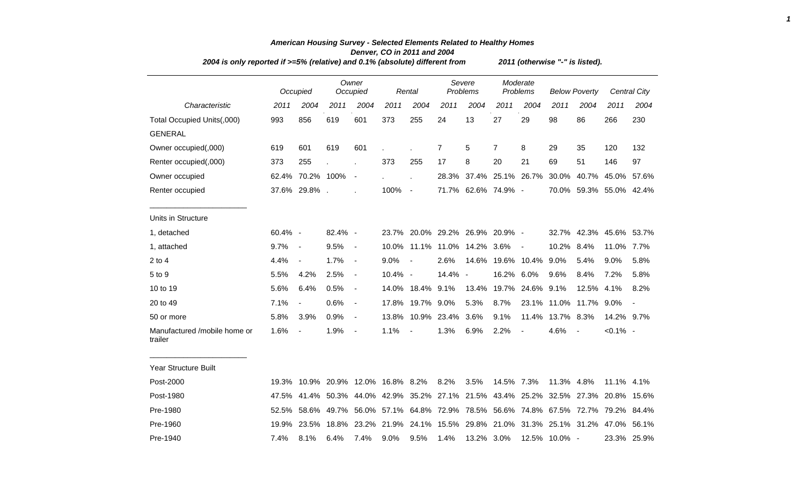|                                         | 2004 is only reported if >=5% (relative) and 0.1% (absolute) different from |                                    |         |                              |         |                          |                    |                                                       |                      |                   | 2011 (otherwise "-" is listed). |                          |                                                                                     |                     |  |  |  |  |  |
|-----------------------------------------|-----------------------------------------------------------------------------|------------------------------------|---------|------------------------------|---------|--------------------------|--------------------|-------------------------------------------------------|----------------------|-------------------|---------------------------------|--------------------------|-------------------------------------------------------------------------------------|---------------------|--|--|--|--|--|
|                                         |                                                                             | Occupied                           |         | Owner<br>Occupied            |         | Rental                   | Severe<br>Problems |                                                       | Moderate<br>Problems |                   | <b>Below Poverty</b>            |                          |                                                                                     | <b>Central City</b> |  |  |  |  |  |
| Characteristic                          | 2011                                                                        | 2004                               | 2011    | 2004                         | 2011    | 2004                     | 2011               | 2004                                                  | 2011                 | 2004              | 2011                            | 2004                     | 2011                                                                                | 2004                |  |  |  |  |  |
| Total Occupied Units(,000)              | 993                                                                         | 856                                | 619     | 601                          | 373     | 255                      | 24                 | 13                                                    | 27                   | 29                | 98                              | 86                       | 266                                                                                 | 230                 |  |  |  |  |  |
| <b>GENERAL</b>                          |                                                                             |                                    |         |                              |         |                          |                    |                                                       |                      |                   |                                 |                          |                                                                                     |                     |  |  |  |  |  |
| Owner occupied(,000)                    | 619                                                                         | 601                                | 619     | 601                          |         |                          | $\overline{7}$     | 5                                                     | 7                    | 8                 | 29                              | 35                       | 120                                                                                 | 132                 |  |  |  |  |  |
| Renter occupied(,000)                   | 373                                                                         | 255                                |         |                              | 373     | 255                      | 17                 | 8                                                     | 20                   | 21                | 69                              | 51                       | 146                                                                                 | 97                  |  |  |  |  |  |
| Owner occupied                          |                                                                             | 62.4% 70.2% 100%                   |         | $\overline{\phantom{a}}$     |         |                          |                    | 28.3% 37.4% 25.1% 26.7%                               |                      |                   | 30.0%                           | 40.7%                    | 45.0% 57.6%                                                                         |                     |  |  |  |  |  |
| Renter occupied                         |                                                                             | 37.6% 29.8%.                       |         |                              | 100%    | $\overline{\phantom{a}}$ |                    | 71.7% 62.6% 74.9% -                                   |                      |                   |                                 |                          | 70.0% 59.3% 55.0% 42.4%                                                             |                     |  |  |  |  |  |
| Units in Structure                      |                                                                             |                                    |         |                              |         |                          |                    |                                                       |                      |                   |                                 |                          |                                                                                     |                     |  |  |  |  |  |
| 1, detached                             | 60.4% -                                                                     |                                    | 82.4% - |                              |         |                          |                    | 23.7% 20.0% 29.2% 26.9% 20.9% -                       |                      |                   | 32.7%                           |                          | 42.3% 45.6% 53.7%                                                                   |                     |  |  |  |  |  |
| 1, attached                             | 9.7%                                                                        | $\overline{\phantom{a}}$           | 9.5%    | $\blacksquare$               |         |                          |                    | 10.0% 11.1% 11.0% 14.2%                               | 3.6%                 | $\blacksquare$    | 10.2%                           | 8.4%                     | 11.0%                                                                               | 7.7%                |  |  |  |  |  |
| $2$ to 4                                | 4.4%                                                                        | $\blacksquare$                     | 1.7%    | $\blacksquare$               | 9.0%    | $\blacksquare$           | 2.6%               |                                                       |                      | 14.6% 19.6% 10.4% | 9.0%                            | 5.4%                     | $9.0\%$                                                                             | 5.8%                |  |  |  |  |  |
| 5 to 9                                  | 5.5%                                                                        | 4.2%                               | 2.5%    | $\blacksquare$               | 10.4% - |                          | 14.4% -            |                                                       | 16.2%                | 6.0%              | 9.6%                            | 8.4%                     | 7.2%                                                                                | 5.8%                |  |  |  |  |  |
| 10 to 19                                | 5.6%                                                                        | 6.4%                               | 0.5%    | $\overline{\phantom{a}}$     |         | 14.0% 18.4%              | 9.1%               | 13.4%                                                 |                      | 19.7% 24.6%       | 9.1%                            | 12.5% 4.1%               |                                                                                     | 8.2%                |  |  |  |  |  |
| 20 to 49                                | 7.1%                                                                        | $\blacksquare$                     | 0.6%    | $\blacksquare$               | 17.8%   | 19.7% 9.0%               |                    | 5.3%                                                  | 8.7%                 | 23.1%             |                                 | 11.0% 11.7%              | 9.0%                                                                                |                     |  |  |  |  |  |
| 50 or more                              | 5.8%                                                                        | 3.9%                               | 0.9%    | $\blacksquare$               | 13.8%   |                          | 10.9% 23.4%        | 3.6%                                                  | 9.1%                 |                   | 11.4% 13.7% 8.3%                |                          | 14.2% 9.7%                                                                          |                     |  |  |  |  |  |
| Manufactured /mobile home or<br>trailer | 1.6%                                                                        | $\overline{\phantom{a}}$           | 1.9%    | $\qquad \qquad \blacksquare$ | 1.1%    | $\overline{\phantom{a}}$ | 1.3%               | 6.9%                                                  | 2.2%                 | $\blacksquare$    | 4.6%                            | $\overline{\phantom{a}}$ | $< 0.1\%$ -                                                                         |                     |  |  |  |  |  |
| <b>Year Structure Built</b>             |                                                                             |                                    |         |                              |         |                          |                    |                                                       |                      |                   |                                 |                          |                                                                                     |                     |  |  |  |  |  |
| Post-2000                               |                                                                             | 19.3% 10.9% 20.9% 12.0% 16.8% 8.2% |         |                              |         |                          | 8.2%               | 3.5%                                                  | 14.5% 7.3%           |                   | 11.3% 4.8%                      |                          | 11.1% 4.1%                                                                          |                     |  |  |  |  |  |
| Post-1980                               | 47.5%                                                                       |                                    |         |                              |         |                          |                    | 41.4% 50.3% 44.0% 42.9% 35.2% 27.1% 21.5% 43.4% 25.2% |                      |                   |                                 |                          | 32.5% 27.3% 20.8% 15.6%                                                             |                     |  |  |  |  |  |
| Pre-1980                                |                                                                             |                                    |         |                              |         |                          |                    |                                                       |                      |                   |                                 |                          | 52.5% 58.6% 49.7% 56.0% 57.1% 64.8% 72.9% 78.5% 56.6% 74.8% 67.5% 72.7% 79.2% 84.4% |                     |  |  |  |  |  |
| Pre-1960                                |                                                                             |                                    |         |                              |         |                          |                    |                                                       |                      |                   |                                 |                          | 19.9% 23.5% 18.8% 23.2% 21.9% 24.1% 15.5% 29.8% 21.0% 31.3% 25.1% 31.2% 47.0% 56.1% |                     |  |  |  |  |  |

Pre-1940 7.4% 8.1% 6.4% 7.4% 9.0% 9.5% 1.4% 13.2% 3.0% 12.5% 10.0% - 23.3% 25.9%

## *American Housing Survey - Selected Elements Related to Healthy Homes Denver, CO in 2011 and 2004*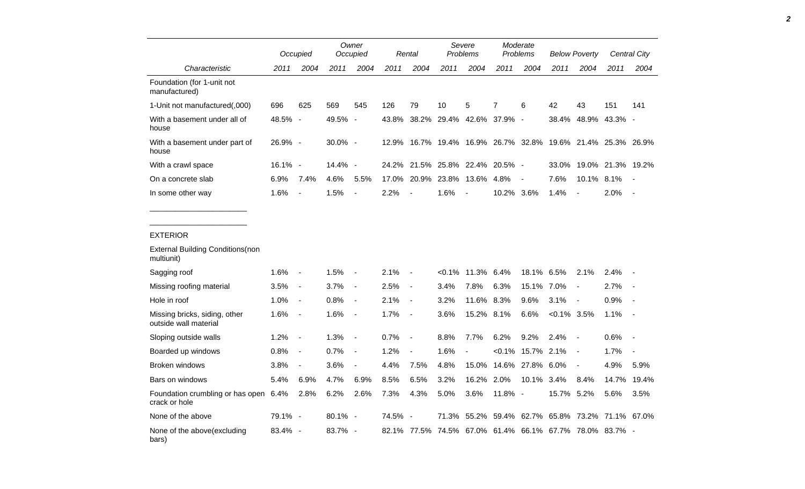|                                                        |         | Occupied                 |            | Owner<br>Occupied        |       | Rental                   | Severe<br><b>Problems</b>       |                          | Moderate<br><b>Problems</b> |                          | <b>Below Poverty</b>                                        |                          | Central City      |                          |
|--------------------------------------------------------|---------|--------------------------|------------|--------------------------|-------|--------------------------|---------------------------------|--------------------------|-----------------------------|--------------------------|-------------------------------------------------------------|--------------------------|-------------------|--------------------------|
| Characteristic                                         | 2011    | 2004                     | 2011       | 2004                     | 2011  | 2004                     | 2011                            | 2004                     | 2011                        | 2004                     | 2011                                                        | 2004                     | 2011              | 2004                     |
| Foundation (for 1-unit not<br>manufactured)            |         |                          |            |                          |       |                          |                                 |                          |                             |                          |                                                             |                          |                   |                          |
| 1-Unit not manufactured(,000)                          | 696     | 625                      | 569        | 545                      | 126   | 79                       | 10                              | 5                        | 7                           | 6                        | 42                                                          | 43                       | 151               | 141                      |
| With a basement under all of<br>house                  | 48.5% - |                          | 49.5%      | $\overline{\phantom{a}}$ | 43.8% |                          | 38.2% 29.4% 42.6% 37.9%         |                          |                             | $\sim$                   | 38.4%                                                       | 48.9%                    | 43.3% -           |                          |
| With a basement under part of<br>house                 | 26.9% - |                          | 30.0% -    |                          |       |                          |                                 |                          |                             |                          | 12.9% 16.7% 19.4% 16.9% 26.7% 32.8% 19.6% 21.4% 25.3% 26.9% |                          |                   |                          |
| With a crawl space                                     | 16.1% - |                          | $14.4\%$ - |                          |       |                          | 24.2% 21.5% 25.8% 22.4% 20.5% - |                          |                             |                          | 33.0%                                                       |                          | 19.0% 21.3% 19.2% |                          |
| On a concrete slab                                     | 6.9%    | 7.4%                     | 4.6%       | 5.5%                     | 17.0% | 20.9%                    | 23.8%                           | 13.6%                    | 4.8%                        | $\overline{\phantom{a}}$ | 7.6%                                                        | 10.1% 8.1%               |                   | $\overline{\phantom{a}}$ |
| In some other way                                      | 1.6%    | $\blacksquare$           | 1.5%       | $\overline{\phantom{a}}$ | 2.2%  |                          | 1.6%                            | $\overline{\phantom{a}}$ | 10.2% 3.6%                  |                          | 1.4%                                                        | $\overline{a}$           | 2.0%              | $\overline{\phantom{a}}$ |
|                                                        |         |                          |            |                          |       |                          |                                 |                          |                             |                          |                                                             |                          |                   |                          |
| <b>EXTERIOR</b>                                        |         |                          |            |                          |       |                          |                                 |                          |                             |                          |                                                             |                          |                   |                          |
| <b>External Building Conditions (non</b><br>multiunit) |         |                          |            |                          |       |                          |                                 |                          |                             |                          |                                                             |                          |                   |                          |
| Sagging roof                                           | 1.6%    | $\overline{\phantom{a}}$ | 1.5%       | $\overline{\phantom{a}}$ | 2.1%  | $\overline{\phantom{a}}$ | $< 0.1\%$                       | 11.3%                    | 6.4%                        | 18.1%                    | 6.5%                                                        | 2.1%                     | 2.4%              |                          |
| Missing roofing material                               | 3.5%    | $\blacksquare$           | 3.7%       | $\overline{a}$           | 2.5%  | $\overline{\phantom{a}}$ | 3.4%                            | 7.8%                     | 6.3%                        | 15.1%                    | 7.0%                                                        | $\blacksquare$           | 2.7%              |                          |
| Hole in roof                                           | 1.0%    | $\blacksquare$           | 0.8%       | $\blacksquare$           | 2.1%  | $\overline{\phantom{a}}$ | 3.2%                            | 11.6% 8.3%               |                             | 9.6%                     | 3.1%                                                        | $\overline{a}$           | 0.9%              |                          |
| Missing bricks, siding, other<br>outside wall material | 1.6%    | $\overline{\phantom{a}}$ | 1.6%       | $\overline{\phantom{a}}$ | 1.7%  | $\overline{\phantom{a}}$ | 3.6%                            | 15.2% 8.1%               |                             | 6.6%                     | $<0.1\%$ 3.5%                                               |                          | 1.1%              |                          |
| Sloping outside walls                                  | 1.2%    | $\overline{\phantom{a}}$ | 1.3%       | $\overline{\phantom{a}}$ | 0.7%  | $\overline{a}$           | 8.8%                            | 7.7%                     | 6.2%                        | 9.2%                     | 2.4%                                                        | $\overline{\phantom{a}}$ | 0.6%              |                          |
| Boarded up windows                                     | 0.8%    | $\overline{\phantom{a}}$ | 0.7%       | $\overline{\phantom{a}}$ | 1.2%  | $\overline{\phantom{a}}$ | 1.6%                            | $\blacksquare$           | $< 0.1\%$                   | 15.7% 2.1%               |                                                             | $\overline{\phantom{a}}$ | 1.7%              |                          |
| Broken windows                                         | 3.8%    | $\blacksquare$           | 3.6%       | $\overline{\phantom{a}}$ | 4.4%  | 7.5%                     | 4.8%                            | 15.0%                    | 14.6%                       | 27.8%                    | 6.0%                                                        | $\overline{\phantom{a}}$ | 4.9%              | 5.9%                     |
| Bars on windows                                        | 5.4%    | 6.9%                     | 4.7%       | 6.9%                     | 8.5%  | 6.5%                     | 3.2%                            | 16.2%                    | 2.0%                        | 10.1% 3.4%               |                                                             | 8.4%                     | 14.7%             | 19.4%                    |
| Foundation crumbling or has open 6.4%<br>crack or hole |         | 2.8%                     | 6.2%       | 2.6%                     | 7.3%  | 4.3%                     | 5.0%                            | 3.6%                     | 11.8% -                     |                          | 15.7% 5.2%                                                  |                          | 5.6%              | 3.5%                     |
| None of the above                                      | 79.1% - |                          | 80.1% -    |                          | 74.5% | $\overline{\phantom{a}}$ |                                 | 71.3% 55.2%              | 59.4%                       |                          | 62.7% 65.8% 73.2% 71.1% 67.0%                               |                          |                   |                          |
| None of the above(excluding<br>bars)                   | 83.4% - |                          | 83.7% -    |                          |       | 82.1% 77.5%              |                                 |                          |                             |                          | 74.5% 67.0% 61.4% 66.1% 67.7% 78.0% 83.7% -                 |                          |                   |                          |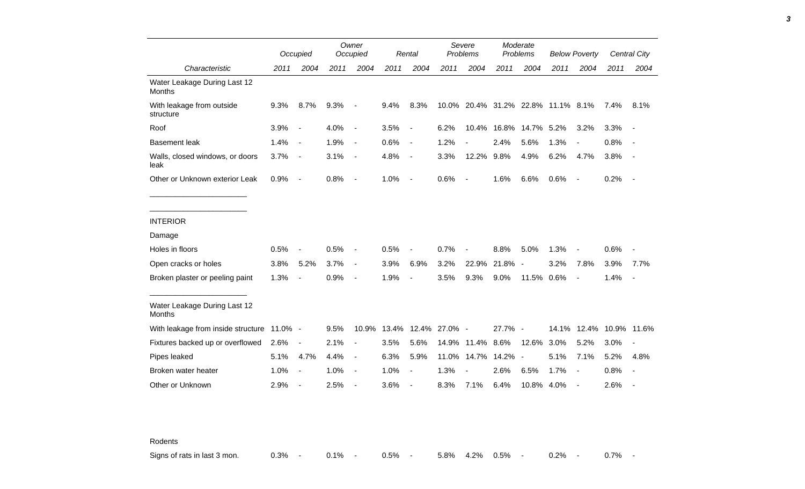|                                            |      | Occupied                 |      | Owner<br>Occupied        |       | Rental                   |         | Severe<br>Problems       |         | Moderate<br>Problems     |                              | <b>Below Poverty</b>     |      | Central City             |
|--------------------------------------------|------|--------------------------|------|--------------------------|-------|--------------------------|---------|--------------------------|---------|--------------------------|------------------------------|--------------------------|------|--------------------------|
| Characteristic                             | 2011 | 2004                     | 2011 | 2004                     | 2011  | 2004                     | 2011    | 2004                     | 2011    | 2004                     | 2011                         | 2004                     | 2011 | 2004                     |
| Water Leakage During Last 12<br>Months     |      |                          |      |                          |       |                          |         |                          |         |                          |                              |                          |      |                          |
| With leakage from outside<br>structure     | 9.3% | 8.7%                     | 9.3% | $\overline{a}$           | 9.4%  | 8.3%                     | 10.0%   |                          |         |                          | 20.4% 31.2% 22.8% 11.1% 8.1% |                          | 7.4% | 8.1%                     |
| Roof                                       | 3.9% | $\overline{\phantom{a}}$ | 4.0% | $\overline{\phantom{a}}$ | 3.5%  | $\overline{\phantom{a}}$ | 6.2%    | 10.4%                    | 16.8%   | 14.7%                    | 5.2%                         | 3.2%                     | 3.3% |                          |
| <b>Basement leak</b>                       | 1.4% | $\overline{\phantom{a}}$ | 1.9% | $\overline{\phantom{a}}$ | 0.6%  | $\blacksquare$           | 1.2%    |                          | 2.4%    | 5.6%                     | 1.3%                         | $\overline{\phantom{a}}$ | 0.8% |                          |
| Walls, closed windows, or doors<br>leak    | 3.7% | $\overline{\phantom{a}}$ | 3.1% | $\overline{\phantom{a}}$ | 4.8%  | $\overline{\phantom{a}}$ | 3.3%    | 12.2%                    | 9.8%    | 4.9%                     | 6.2%                         | 4.7%                     | 3.8% |                          |
| Other or Unknown exterior Leak             | 0.9% | $\overline{\phantom{a}}$ | 0.8% | $\overline{\phantom{a}}$ | 1.0%  | $\overline{\phantom{a}}$ | 0.6%    | $\overline{\phantom{a}}$ | 1.6%    | 6.6%                     | 0.6%                         | $\overline{\phantom{a}}$ | 0.2% | $\sim$                   |
| <b>INTERIOR</b>                            |      |                          |      |                          |       |                          |         |                          |         |                          |                              |                          |      |                          |
| Damage                                     |      |                          |      |                          |       |                          |         |                          |         |                          |                              |                          |      |                          |
| Holes in floors                            | 0.5% |                          | 0.5% | $\blacksquare$           | 0.5%  |                          | 0.7%    |                          | 8.8%    | 5.0%                     | 1.3%                         |                          | 0.6% |                          |
| Open cracks or holes                       | 3.8% | 5.2%                     | 3.7% | $\overline{\phantom{a}}$ | 3.9%  | 6.9%                     | 3.2%    | 22.9%                    | 21.8%   | $\overline{\phantom{a}}$ | 3.2%                         | 7.8%                     | 3.9% | 7.7%                     |
| Broken plaster or peeling paint            | 1.3% | $\overline{a}$           | 0.9% | $\overline{\phantom{a}}$ | 1.9%  | $\overline{a}$           | 3.5%    | 9.3%                     | 9.0%    | 11.5%                    | 0.6%                         | $\overline{\phantom{a}}$ | 1.4% | $\overline{\phantom{a}}$ |
| Water Leakage During Last 12<br>Months     |      |                          |      |                          |       |                          |         |                          |         |                          |                              |                          |      |                          |
| With leakage from inside structure 11.0% - |      |                          | 9.5% | 10.9%                    | 13.4% | 12.4%                    | 27.0% - |                          | 27.7% - |                          |                              | 14.1% 12.4%              |      | 10.9% 11.6%              |
| Fixtures backed up or overflowed           | 2.6% | $\overline{\phantom{a}}$ | 2.1% | $\blacksquare$           | 3.5%  | 5.6%                     | 14.9%   | 11.4%                    | 8.6%    | 12.6%                    | 3.0%                         | 5.2%                     | 3.0% |                          |
| Pipes leaked                               | 5.1% | 4.7%                     | 4.4% | $\overline{\phantom{a}}$ | 6.3%  | 5.9%                     | 11.0%   | 14.7%                    | 14.2%   | $\sim$                   | 5.1%                         | 7.1%                     | 5.2% | 4.8%                     |
| Broken water heater                        | 1.0% | $\overline{\phantom{a}}$ | 1.0% | $\overline{\phantom{a}}$ | 1.0%  |                          | 1.3%    |                          | 2.6%    | 6.5%                     | 1.7%                         | $\overline{\phantom{a}}$ | 0.8% |                          |
| Other or Unknown                           | 2.9% | $\overline{a}$           | 2.5% | $\overline{a}$           | 3.6%  |                          | 8.3%    | 7.1%                     | 6.4%    | 10.8% 4.0%               |                              | $\overline{\phantom{a}}$ | 2.6% |                          |

Rodents

Signs of rats in last 3 mon. <br>
0.3% - 0.7% - 0.1% - 0.5% - 5.8% 4.2% 0.5% - 0.2% - 0.7% -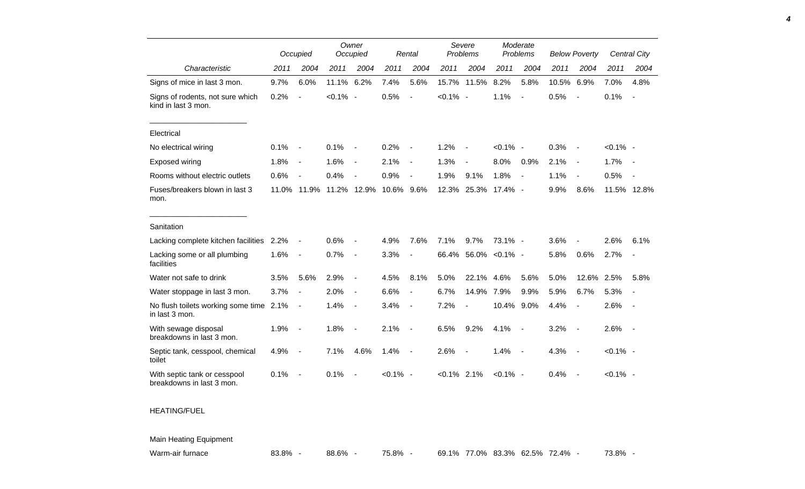|                                                           |       | Occupied                 |             | Owner<br>Occupied        |             | Rental                   |                | Severe<br>Problems       |                | Moderate<br>Problems     |       | <b>Below Poverty</b>     |             | Central City   |
|-----------------------------------------------------------|-------|--------------------------|-------------|--------------------------|-------------|--------------------------|----------------|--------------------------|----------------|--------------------------|-------|--------------------------|-------------|----------------|
| Characteristic                                            | 2011  | 2004                     | 2011        | 2004                     | 2011        | 2004                     | 2011           | 2004                     | 2011           | 2004                     | 2011  | 2004                     | 2011        | 2004           |
| Signs of mice in last 3 mon.                              | 9.7%  | 6.0%                     | 11.1%       | 6.2%                     | 7.4%        | 5.6%                     | 15.7%          | 11.5%                    | 8.2%           | 5.8%                     | 10.5% | 6.9%                     | 7.0%        | 4.8%           |
| Signs of rodents, not sure which<br>kind in last 3 mon.   | 0.2%  | $\overline{\phantom{a}}$ | $< 0.1\%$ - |                          | 0.5%        | $\overline{a}$           | $< 0.1\%$ -    |                          | 1.1%           | $\sim$                   | 0.5%  | $\overline{\phantom{a}}$ | 0.1%        | $\sim$         |
| Electrical                                                |       |                          |             |                          |             |                          |                |                          |                |                          |       |                          |             |                |
| No electrical wiring                                      | 0.1%  | $\overline{\phantom{a}}$ | 0.1%        |                          | 0.2%        |                          | 1.2%           |                          | $< 0.1\%$ -    |                          | 0.3%  | $\overline{\phantom{a}}$ | $< 0.1\%$ - |                |
| Exposed wiring                                            | 1.8%  | $\overline{a}$           | 1.6%        | $\overline{\phantom{a}}$ | 2.1%        | $\overline{\phantom{a}}$ | 1.3%           | $\overline{a}$           | 8.0%           | 0.9%                     | 2.1%  | $\blacksquare$           | 1.7%        | $\sim$         |
| Rooms without electric outlets                            | 0.6%  | ÷,                       | 0.4%        |                          | 0.9%        | $\overline{a}$           | 1.9%           | 9.1%                     | 1.8%           | $\sim$                   | 1.1%  | $\blacksquare$           | 0.5%        | $\sim$         |
| Fuses/breakers blown in last 3<br>mon.                    | 11.0% | 11.9%                    | 11.2%       | 12.9%                    | 10.6%       | 9.6%                     | 12.3%          | 25.3%                    | 17.4% -        |                          | 9.9%  | 8.6%                     |             | 11.5% 12.8%    |
| Sanitation                                                |       |                          |             |                          |             |                          |                |                          |                |                          |       |                          |             |                |
| Lacking complete kitchen facilities                       | 2.2%  | $\overline{\phantom{a}}$ | 0.6%        |                          | 4.9%        | 7.6%                     | 7.1%           | 9.7%                     | $73.1\%$ -     |                          | 3.6%  |                          | 2.6%        | 6.1%           |
| Lacking some or all plumbing<br>facilities                | 1.6%  | $\overline{\phantom{a}}$ | 0.7%        | $\overline{a}$           | 3.3%        | $\overline{\phantom{a}}$ | 66.4%          |                          | 56.0% < 0.1% - |                          | 5.8%  | 0.6%                     | 2.7%        | $\blacksquare$ |
| Water not safe to drink                                   | 3.5%  | 5.6%                     | 2.9%        | $\overline{\phantom{a}}$ | 4.5%        | 8.1%                     | 5.0%           | 22.1%                    | 4.6%           | 5.6%                     | 5.0%  | 12.6% 2.5%               |             | 5.8%           |
| Water stoppage in last 3 mon.                             | 3.7%  | $\overline{\phantom{a}}$ | 2.0%        | $\overline{\phantom{a}}$ | 6.6%        | $\blacksquare$           | 6.7%           | 14.9%                    | 7.9%           | 9.9%                     | 5.9%  | 6.7%                     | 5.3%        |                |
| No flush toilets working some time 2.1%<br>in last 3 mon. |       | $\overline{\phantom{a}}$ | 1.4%        | $\overline{\phantom{a}}$ | 3.4%        | $\overline{\phantom{a}}$ | 7.2%           | $\blacksquare$           | 10.4%          | 9.0%                     | 4.4%  | $\blacksquare$           | 2.6%        | $\sim$         |
| With sewage disposal<br>breakdowns in last 3 mon.         | 1.9%  | $\overline{\phantom{a}}$ | 1.8%        |                          | 2.1%        | $\overline{\phantom{a}}$ | 6.5%           | 9.2%                     | 4.1%           | $\overline{\phantom{a}}$ | 3.2%  | $\overline{\phantom{a}}$ | 2.6%        | $\sim$         |
| Septic tank, cesspool, chemical<br>toilet                 | 4.9%  | $\overline{a}$           | 7.1%        | 4.6%                     | 1.4%        | $\overline{\phantom{a}}$ | 2.6%           | $\overline{\phantom{a}}$ | 1.4%           | $\sim$                   | 4.3%  | $\sim$                   | $< 0.1\%$ - |                |
| With septic tank or cesspool<br>breakdowns in last 3 mon. | 0.1%  | $\overline{\phantom{a}}$ | 0.1%        |                          | $< 0.1\%$ - |                          | $< 0.1\%$ 2.1% |                          | $< 0.1\%$ -    |                          | 0.4%  | $\sim$                   | $< 0.1\%$ - |                |

## HEATING/FUEL

## Main Heating Equipment

Warm-air furnace a a mulled by 83.8% - 88.6% - 75.8% - 69.1% 77.0% 83.3% 62.5% 72.4% - 73.8% -

*4*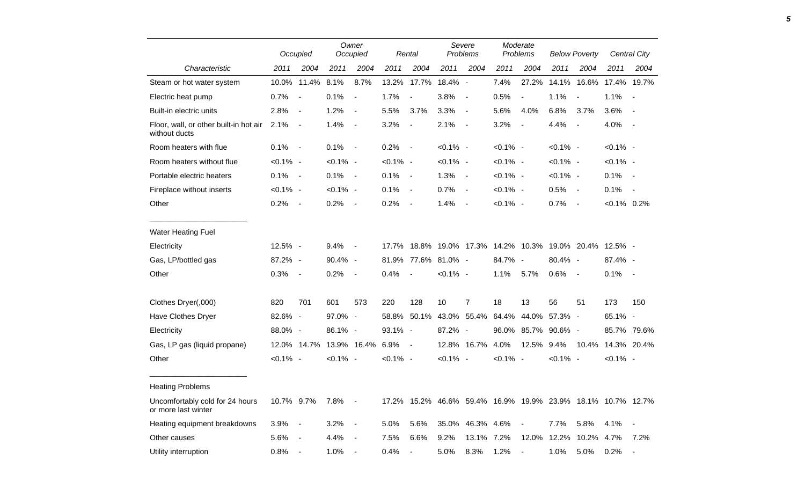|                                                         |             | Occupied         |             | Owner<br>Occupied |                                | Rental                   |                                             | Severe<br>Problems |             | Moderate<br>Problems |             | <b>Below Poverty</b>                                        |                   | <b>Central City</b> |
|---------------------------------------------------------|-------------|------------------|-------------|-------------------|--------------------------------|--------------------------|---------------------------------------------|--------------------|-------------|----------------------|-------------|-------------------------------------------------------------|-------------------|---------------------|
| Characteristic                                          | 2011        | 2004             | 2011        | 2004              | 2011                           | 2004                     | 2011                                        | 2004               | 2011        | 2004                 | 2011        | 2004                                                        | 2011              | 2004                |
| Steam or hot water system                               |             | 10.0% 11.4% 8.1% |             | 8.7%              |                                |                          | 13.2% 17.7% 18.4% -                         |                    | 7.4%        |                      |             | 27.2% 14.1% 16.6% 17.4% 19.7%                               |                   |                     |
| Electric heat pump                                      | $0.7\%$ -   |                  | 0.1%        | $\sim$ $-$        | 1.7%                           | $\overline{\phantom{a}}$ | $3.8\%$ -                                   |                    | 0.5%        | $\blacksquare$       | 1.1%        | $\overline{\phantom{a}}$                                    | $1.1\% -$         |                     |
| Built-in electric units                                 | $2.8\%$ -   |                  | 1.2%        | $\sim$ $-$        | 5.5%                           | 3.7%                     | $3.3\%$ -                                   |                    | 5.6%        | 4.0%                 | 6.8%        | 3.7%                                                        | $3.6\%$ -         |                     |
| Floor, wall, or other built-in hot air<br>without ducts | $2.1\% -$   |                  | 1.4%        | $\sim$ $-$        | 3.2%                           | $\sim$ $-$               | $2.1\% -$                                   |                    | 3.2%        | $\sim$               | 4.4%        | $\blacksquare$                                              | 4.0% -            |                     |
| Room heaters with flue                                  | $0.1\%$ -   |                  | $0.1\%$ -   |                   | $0.2\%$ -                      |                          | $< 0.1\%$ -                                 |                    | $< 0.1\%$ - |                      | $< 0.1\%$ - |                                                             | $< 0.1\%$ -       |                     |
| Room heaters without flue                               | $< 0.1\%$ - |                  | $< 0.1\%$ - |                   | $< 0.1\%$ -                    |                          | $< 0.1\%$ -                                 |                    | $< 0.1\%$ - |                      | $< 0.1\%$ - |                                                             | $< 0.1\%$ -       |                     |
| Portable electric heaters                               | $0.1\%$ -   |                  | $0.1\%$ -   |                   | $0.1\%$ -                      |                          | $1.3% -$                                    |                    | $< 0.1\%$ - |                      | $< 0.1\%$ - |                                                             | $0.1\%$ -         |                     |
| Fireplace without inserts                               | $< 0.1\%$ - |                  | $< 0.1\%$ - |                   | $0.1\%$ -                      |                          | $0.7\%$ -                                   |                    | $< 0.1\%$ - |                      | $0.5\%$ -   |                                                             | $0.1\%$ -         |                     |
| Other                                                   | $0.2\%$ -   |                  | $0.2\%$ -   |                   | $0.2\%$ -                      |                          | $1.4\%$ -                                   |                    | $< 0.1\%$ - |                      | $0.7\%$ -   |                                                             | $< 0.1\%$ 0.2%    |                     |
| Water Heating Fuel                                      |             |                  |             |                   |                                |                          |                                             |                    |             |                      |             |                                                             |                   |                     |
| Electricity                                             | $12.5% -$   |                  | $9.4\%$ -   |                   |                                |                          |                                             |                    |             |                      |             | 17.7% 18.8% 19.0% 17.3% 14.2% 10.3% 19.0% 20.4% 12.5% -     |                   |                     |
| Gas, LP/bottled gas                                     | 87.2% -     |                  | 90.4% -     |                   |                                |                          | 81.9% 77.6% 81.0% -                         |                    | 84.7% -     |                      | 80.4% -     |                                                             | 87.4% -           |                     |
| Other                                                   | $0.3\%$ -   |                  | 0.2%        | $\sim$ $-$        | 0.4%                           | $\sim$ $-$               | $< 0.1\%$ -                                 |                    | 1.1%        | $5.7\%$              | $0.6\%$ -   |                                                             | $0.1\%$ -         |                     |
| Clothes Dryer(,000)                                     | 820         | 701              | 601         | 573               | 220                            | 128                      | 10                                          | $\overline{7}$     | 18          | 13                   | 56          | 51                                                          | 173               | 150                 |
| Have Clothes Dryer                                      | 82.6% -     |                  | 97.0% -     |                   |                                |                          | 58.8% 50.1% 43.0% 55.4% 64.4% 44.0% 57.3% - |                    |             |                      |             |                                                             | 65.1% -           |                     |
| Electricity                                             | 88.0% -     |                  | 86.1% -     |                   | 93.1% -                        |                          | 87.2% -                                     |                    |             | 96.0% 85.7% 90.6% -  |             |                                                             |                   | 85.7% 79.6%         |
| Gas, LP gas (liquid propane)                            |             |                  |             |                   | 12.0% 14.7% 13.9% 16.4% 6.9% - |                          |                                             | 12.8% 16.7% 4.0%   |             |                      | 12.5% 9.4%  |                                                             | 10.4% 14.3% 20.4% |                     |
| Other                                                   | $< 0.1\%$ - |                  | $< 0.1\%$ - |                   | $< 0.1\%$ -                    |                          | $< 0.1\%$ -                                 |                    | $< 0.1\%$ - |                      | $< 0.1\%$ - |                                                             | $< 0.1\%$ -       |                     |
| <b>Heating Problems</b>                                 |             |                  |             |                   |                                |                          |                                             |                    |             |                      |             |                                                             |                   |                     |
| Uncomfortably cold for 24 hours<br>or more last winter  | 10.7% 9.7%  |                  | 7.8% -      |                   |                                |                          |                                             |                    |             |                      |             | 17.2% 15.2% 46.6% 59.4% 16.9% 19.9% 23.9% 18.1% 10.7% 12.7% |                   |                     |
| Heating equipment breakdowns                            | $3.9\%$ -   |                  | $3.2\%$ -   |                   | 5.0%                           | 5.6%                     |                                             | 35.0% 46.3% 4.6%   |             | $\sim$ $-$           | 7.7%        | 5.8%                                                        | $4.1\%$ -         |                     |
| Other causes                                            | 5.6% -      |                  | 4.4%        | $\sim$ $-$        | 7.5%                           | 6.6%                     | $9.2\%$                                     | 13.1% 7.2%         |             |                      |             | 12.0% 12.2% 10.2% 4.7%                                      |                   | 7.2%                |
| Utility interruption                                    | $0.8\%$ -   |                  | $1.0\%$ -   |                   | $0.4\%$ -                      |                          | 5.0%                                        | 8.3%               | $1.2\%$ -   |                      | 1.0%        | 5.0%                                                        | $0.2\%$ -         |                     |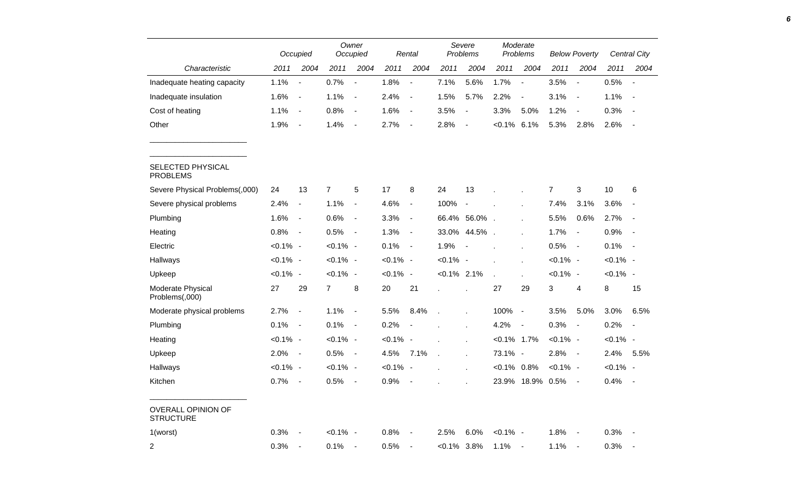|                                               |             | Occupied                     |                | Owner<br>Occupied            |             | Rental                   |                | Severe<br>Problems       |                | Moderate<br>Problems     |                | <b>Below Poverty</b>     |             | Central City                 |
|-----------------------------------------------|-------------|------------------------------|----------------|------------------------------|-------------|--------------------------|----------------|--------------------------|----------------|--------------------------|----------------|--------------------------|-------------|------------------------------|
| Characteristic                                | 2011        | 2004                         | 2011           | 2004                         | 2011        | 2004                     | 2011           | 2004                     | 2011           | 2004                     | 2011           | 2004                     | 2011        | 2004                         |
| Inadequate heating capacity                   | 1.1%        | $\qquad \qquad \blacksquare$ | 0.7%           | $\blacksquare$               | 1.8%        | $\overline{\phantom{a}}$ | 7.1%           | 5.6%                     | 1.7%           | $\overline{\phantom{a}}$ | 3.5%           | $\blacksquare$           | 0.5%        | $\overline{\phantom{a}}$     |
| Inadequate insulation                         | 1.6%        | $\overline{\phantom{a}}$     | 1.1%           | $\blacksquare$               | 2.4%        | $\blacksquare$           | 1.5%           | 5.7%                     | 2.2%           | $\blacksquare$           | 3.1%           | $\blacksquare$           | 1.1%        | $\blacksquare$               |
| Cost of heating                               | 1.1%        | $\overline{\phantom{a}}$     | 0.8%           | $\blacksquare$               | 1.6%        | $\blacksquare$           | 3.5%           | $\overline{\phantom{a}}$ | 3.3%           | 5.0%                     | 1.2%           | $\overline{\phantom{a}}$ | 0.3%        |                              |
| Other                                         | 1.9%        | $\overline{\phantom{0}}$     | 1.4%           | $\blacksquare$               | 2.7%        | $\blacksquare$           | 2.8%           | $\overline{a}$           | $< 0.1\%$      | 6.1%                     | 5.3%           | 2.8%                     | 2.6%        |                              |
| SELECTED PHYSICAL<br><b>PROBLEMS</b>          |             |                              |                |                              |             |                          |                |                          |                |                          |                |                          |             |                              |
| Severe Physical Problems(,000)                | 24          | 13                           | $\overline{7}$ | 5                            | 17          | 8                        | 24             | 13                       |                |                          | $\overline{7}$ | 3                        | 10          | 6                            |
| Severe physical problems                      | 2.4%        | $\blacksquare$               | 1.1%           | $\qquad \qquad \blacksquare$ | 4.6%        | $\blacksquare$           | 100%           | $\overline{\phantom{a}}$ |                |                          | 7.4%           | 3.1%                     | 3.6%        | $\qquad \qquad \blacksquare$ |
| Plumbing                                      | 1.6%        | $\overline{\phantom{a}}$     | 0.6%           | $\qquad \qquad \blacksquare$ | 3.3%        | $\blacksquare$           |                | 66.4% 56.0%              |                |                          | 5.5%           | 0.6%                     | 2.7%        | $\sim$                       |
| Heating                                       | 0.8%        | $\overline{\phantom{a}}$     | 0.5%           | $\blacksquare$               | 1.3%        | $\blacksquare$           | 33.0%          | 44.5%                    |                |                          | 1.7%           | $\blacksquare$           | 0.9%        | $\sim$                       |
| Electric                                      | $< 0.1\%$ - |                              | $< 0.1\%$ -    |                              | 0.1%        | $\blacksquare$           | 1.9%           | $\blacksquare$           |                |                          | 0.5%           | $\overline{\phantom{a}}$ | 0.1%        | $\sim$                       |
| Hallways                                      | $< 0.1\%$ - |                              | $< 0.1\%$ -    |                              | $< 0.1\%$ - |                          | $< 0.1\%$ -    |                          |                |                          | $< 0.1\%$ -    |                          | $< 0.1\%$ - |                              |
| Upkeep                                        | $< 0.1\%$ - |                              | $< 0.1\%$ -    |                              | $< 0.1\%$ - |                          | $< 0.1\%$ 2.1% |                          |                |                          | $< 0.1\%$ -    |                          | $< 0.1\%$ - |                              |
| Moderate Physical<br>Problems(,000)           | 27          | 29                           | $\overline{7}$ | 8                            | 20          | 21                       |                |                          | 27             | 29                       | 3              | 4                        | 8           | 15                           |
| Moderate physical problems                    | 2.7%        | $\overline{a}$               | 1.1%           | $\blacksquare$               | 5.5%        | 8.4%                     |                | $\mathbf{r}$             | 100%           | $\overline{\phantom{a}}$ | 3.5%           | 5.0%                     | 3.0%        | 6.5%                         |
| Plumbing                                      | 0.1%        | $\blacksquare$               | 0.1%           | $\overline{a}$               | 0.2%        | $\overline{\phantom{a}}$ |                | ÷.                       | 4.2%           | $\blacksquare$           | 0.3%           | $\overline{\phantom{a}}$ | 0.2%        | $\blacksquare$               |
| Heating                                       | $< 0.1\%$ - |                              | $< 0.1\%$ -    |                              | $< 0.1\%$ - |                          |                |                          | $< 0.1\%$ 1.7% |                          | $< 0.1\%$ -    |                          | $< 0.1\%$ - |                              |
| Upkeep                                        | 2.0%        | $\blacksquare$               | 0.5%           | $\overline{\phantom{a}}$     | 4.5%        | 7.1%                     |                | $\mathbf{r}$             | 73.1% -        |                          | 2.8%           | $\blacksquare$           | 2.4%        | 5.5%                         |
| Hallways                                      | $< 0.1\%$ - |                              | $< 0.1\%$ -    |                              | $< 0.1\%$   | $\overline{\phantom{a}}$ |                |                          | $< 0.1\%$ 0.8% |                          | $< 0.1\%$ -    |                          | $< 0.1\%$ - |                              |
| Kitchen                                       | 0.7%        | $\overline{\phantom{a}}$     | 0.5%           | $\overline{\phantom{a}}$     | 0.9%        |                          |                |                          | 23.9%          | 18.9%                    | 0.5%           | $\overline{\phantom{a}}$ | 0.4%        | $\overline{\phantom{a}}$     |
| <b>OVERALL OPINION OF</b><br><b>STRUCTURE</b> |             |                              |                |                              |             |                          |                |                          |                |                          |                |                          |             |                              |
| 1(worst)                                      | 0.3%        |                              | $< 0.1\%$ -    |                              | 0.8%        | $\overline{\phantom{a}}$ | 2.5%           | 6.0%                     | $< 0.1\%$ -    |                          | 1.8%           | $\overline{\phantom{a}}$ | 0.3%        |                              |
| $\overline{2}$                                | 0.3%        | $\blacksquare$               | 0.1%           | $\overline{\phantom{a}}$     | 0.5%        | $\overline{\phantom{a}}$ | $< 0.1\%$ 3.8% |                          | 1.1%           | $\overline{\phantom{a}}$ | 1.1%           | $\blacksquare$           | 0.3%        |                              |